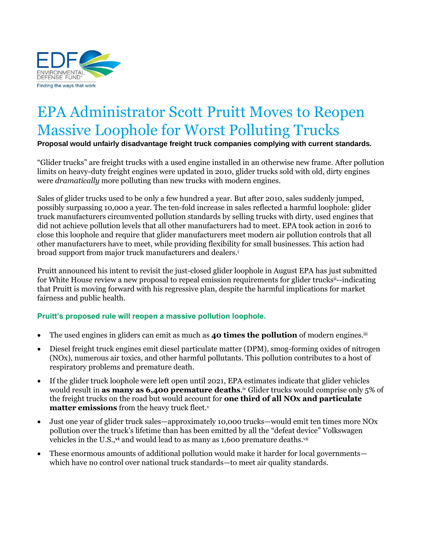

# EPA Administrator Scott Pruitt Moves to Reopen Massive Loophole for Worst Polluting Trucks

**Proposal would unfairly disadvantage freight truck companies complying with current standards.** 

"Glider trucks" are freight trucks with a used engine installed in an otherwise new frame. After pollution limits on heavy-duty freight engines were updated in 2010, glider trucks sold with old, dirty engines were *dramatically* more polluting than new trucks with modern engines.

Sales of glider trucks used to be only a few hundred a year. But after 2010, sales suddenly jumped, possibly surpassing 10,000 a year. The ten-fold increase in sales reflected a harmful loophole: glider truck manufacturers circumvented pollution standards by selling trucks with dirty, used engines that did not achieve pollution levels that all other manufacturers had to meet. EPA took action in 2016 to close this loophole and require that glider manufacturers meet modern air pollution controls that all other manufacturers have to meet, while providing flexibility for small businesses. This action had broad support from major truck manufacturers and dealers.<sup>i</sup>

Pruitt announced his intent to revisit the just-closed glider loophole in August EPA has just submitted for White House review a new proposal to repeal emission requirements for glider trucks<sup>ii--indicating</sup> that Pruitt is moving forward with his regressive plan, despite the harmful implications for market fairness and public health.

## **Pruitt's proposed rule will reopen a massive pollution loophole.**

- The used engines in gliders can emit as much as **40 times the pollution** of modern engines.iii
- Diesel freight truck engines emit diesel particulate matter (DPM), smog-forming oxides of nitrogen (NOx), numerous air toxics, and other harmful pollutants. This pollution contributes to a host of respiratory problems and premature death.
- If the glider truck loophole were left open until 2021, EPA estimates indicate that glider vehicles would result in **as many as 6,400 premature deaths**. iv Glider trucks would comprise only 5% of the freight trucks on the road but would account for **one third of all NOx and particulate matter emissions** from the heavy truck fleet.<sup>v</sup>
- Just one year of glider truck sales—approximately 10,000 trucks—would emit ten times more NOx pollution over the truck's lifetime than has been emitted by all the "defeat device" Volkswagen vehicles in the U.S.,<sup>vi</sup> and would lead to as many as 1,600 premature deaths.<sup>vii</sup>
- These enormous amounts of additional pollution would make it harder for local governments which have no control over national truck standards—to meet air quality standards.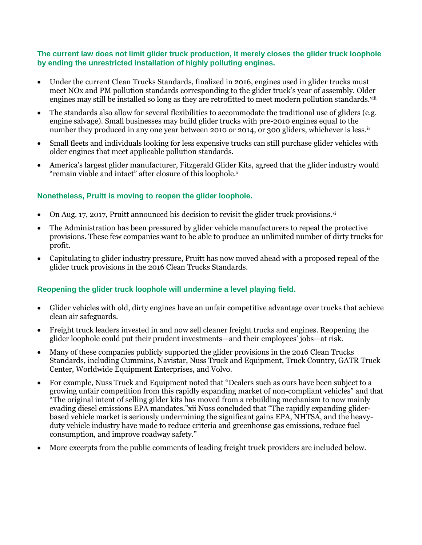#### **The current law does not limit glider truck production, it merely closes the glider truck loophole by ending the unrestricted installation of highly polluting engines.**

- Under the current Clean Trucks Standards, finalized in 2016, engines used in glider trucks must meet NOx and PM pollution standards corresponding to the glider truck's year of assembly. Older engines may still be installed so long as they are retrofitted to meet modern pollution standards.<sup>viii</sup>
- The standards also allow for several flexibilities to accommodate the traditional use of gliders (e.g. engine salvage). Small businesses may build glider trucks with pre-2010 engines equal to the number they produced in any one year between 2010 or 2014, or 300 gliders, whichever is less.<sup>ix</sup>
- Small fleets and individuals looking for less expensive trucks can still purchase glider vehicles with older engines that meet applicable pollution standards.
- America's largest glider manufacturer, Fitzgerald Glider Kits, agreed that the glider industry would "remain viable and intact" after closure of this loophole.x

## **Nonetheless, Pruitt is moving to reopen the glider loophole.**

- On Aug. 17, 2017, Pruitt announced his decision to revisit the glider truck provisions. $x^{i}$
- The Administration has been pressured by glider vehicle manufacturers to repeal the protective provisions. These few companies want to be able to produce an unlimited number of dirty trucks for profit.
- Capitulating to glider industry pressure, Pruitt has now moved ahead with a proposed repeal of the glider truck provisions in the 2016 Clean Trucks Standards.

## **Reopening the glider truck loophole will undermine a level playing field.**

- Glider vehicles with old, dirty engines have an unfair competitive advantage over trucks that achieve clean air safeguards.
- Freight truck leaders invested in and now sell cleaner freight trucks and engines. Reopening the glider loophole could put their prudent investments—and their employees' jobs—at risk.
- Many of these companies publicly supported the glider provisions in the 2016 Clean Trucks Standards, including Cummins, Navistar, Nuss Truck and Equipment, Truck Country, GATR Truck Center, Worldwide Equipment Enterprises, and Volvo.
- For example, Nuss Truck and Equipment noted that "Dealers such as ours have been subject to a growing unfair competition from this rapidly expanding market of non-compliant vehicles" and that "The original intent of selling gilder kits has moved from a rebuilding mechanism to now mainly evading diesel emissions EPA mandates."xii Nuss concluded that "The rapidly expanding gliderbased vehicle market is seriously undermining the significant gains EPA, NHTSA, and the heavyduty vehicle industry have made to reduce criteria and greenhouse gas emissions, reduce fuel consumption, and improve roadway safety."
- More excerpts from the public comments of leading freight truck providers are included below.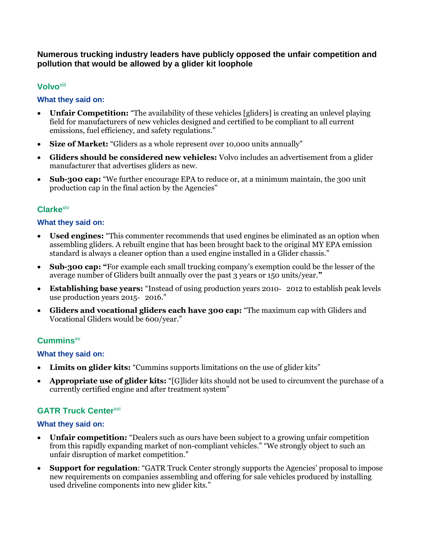## **Numerous trucking industry leaders have publicly opposed the unfair competition and pollution that would be allowed by a glider kit loophole**

## **Volvo**xiii

#### **What they said on:**

- **Unfair Competition:** "The availability of these vehicles [gliders] is creating an unlevel playing field for manufacturers of new vehicles designed and certified to be compliant to all current emissions, fuel efficiency, and safety regulations."
- **Size of Market:** "Gliders as a whole represent over 10,000 units annually"
- **Gliders should be considered new vehicles:** Volvo includes an advertisement from a glider manufacturer that advertises gliders as new.
- **Sub-300 cap:** "We further encourage EPA to reduce or, at a minimum maintain, the 300 unit production cap in the final action by the Agencies"

## **Clarke**xiv

#### **What they said on:**

- **Used engines:** "This commenter recommends that used engines be eliminated as an option when assembling gliders. A rebuilt engine that has been brought back to the original MY EPA emission standard is always a cleaner option than a used engine installed in a Glider chassis."
- **Sub-300 cap: "**For example each small trucking company's exemption could be the lesser of the average number of Gliders built annually over the past 3 years or 150 units/year.**"**
- **Establishing base years:** "Instead of using production years 2010‐ 2012 to establish peak levels use production years 2015-2016."
- **Gliders and vocational gliders each have 300 cap:** "The maximum cap with Gliders and Vocational Gliders would be 600/year."

## **Cummins**xv

#### **What they said on:**

- **Limits on glider kits:** "Cummins supports limitations on the use of glider kits"
- **Appropriate use of glider kits:** "[G]lider kits should not be used to circumvent the purchase of a currently certified engine and after treatment system"

## **GATR Truck Center<sup>xvi</sup>**

#### **What they said on:**

- **Unfair competition:** "Dealers such as ours have been subject to a growing unfair competition from this rapidly expanding market of non-compliant vehicles." "We strongly object to such an unfair disruption of market competition."
- **Support for regulation**: "GATR Truck Center strongly supports the Agencies' proposal to impose new requirements on companies assembling and offering for sale vehicles produced by installing used driveline components into new glider kits."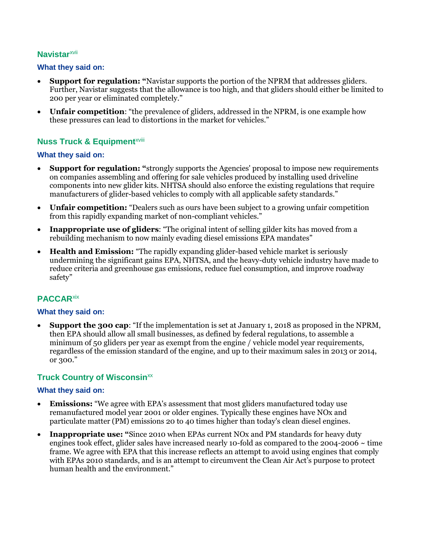## **Navistar**xvii

#### **What they said on:**

- **Support for regulation: "**Navistar supports the portion of the NPRM that addresses gliders. Further, Navistar suggests that the allowance is too high, and that gliders should either be limited to 200 per year or eliminated completely."
- **Unfair competition**: "the prevalence of gliders, addressed in the NPRM, is one example how these pressures can lead to distortions in the market for vehicles."

# **Nuss Truck & Equipment**<sup>xviii</sup>

#### **What they said on:**

- **Support for regulation: "**strongly supports the Agencies' proposal to impose new requirements on companies assembling and offering for sale vehicles produced by installing used driveline components into new glider kits. NHTSA should also enforce the existing regulations that require manufacturers of glider-based vehicles to comply with all applicable safety standards."
- **Unfair competition:** "Dealers such as ours have been subject to a growing unfair competition from this rapidly expanding market of non-compliant vehicles."
- **Inappropriate use of gliders**: "The original intent of selling gilder kits has moved from a rebuilding mechanism to now mainly evading diesel emissions EPA mandates"
- **Health and Emission:** "The rapidly expanding glider-based vehicle market is seriously undermining the significant gains EPA, NHTSA, and the heavy-duty vehicle industry have made to reduce criteria and greenhouse gas emissions, reduce fuel consumption, and improve roadway safety"

# **PACCAR**xix

#### **What they said on:**

 **Support the 300 cap**: "If the implementation is set at January 1, 2018 as proposed in the NPRM, then EPA should allow all small businesses, as defined by federal regulations, to assemble a minimum of 50 gliders per year as exempt from the engine / vehicle model year requirements, regardless of the emission standard of the engine, and up to their maximum sales in 2013 or 2014, or 300."

## **Truck Country of Wisconsin**<sup>xx</sup>

#### **What they said on:**

- **Emissions:** "We agree with EPA's assessment that most gliders manufactured today use remanufactured model year 2001 or older engines. Typically these engines have NOx and particulate matter (PM) emissions 20 to 40 times higher than today's clean diesel engines.
- **Inappropriate use: "**Since 2010 when EPAs current NOx and PM standards for heavy duty engines took effect, glider sales have increased nearly 10-fold as compared to the  $2004$ - $2006 \sim$  time frame. We agree with EPA that this increase reflects an attempt to avoid using engines that comply with EPAs 2010 standards, and is an attempt to circumvent the Clean Air Act's purpose to protect human health and the environment."